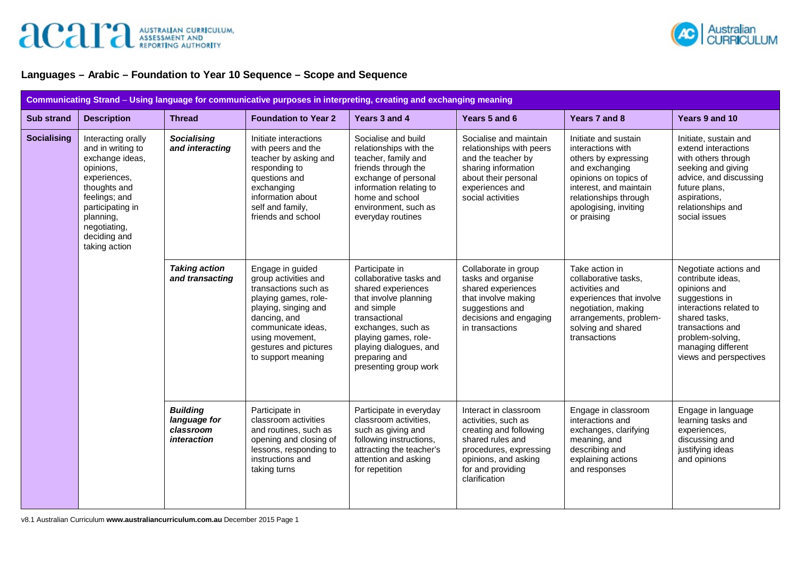

## **Languages – Arabic – Foundation to Year 10 Sequence – Scope and Sequence**

| Communicating Strand - Using language for communicative purposes in interpreting, creating and exchanging meaning |                                                                                                                                                                                                            |                                                             |                                                                                                                                                                                                                          |                                                                                                                                                                                                                                           |                                                                                                                                                                                    |                                                                                                                                                                                                         |                                                                                                                                                                                                                  |
|-------------------------------------------------------------------------------------------------------------------|------------------------------------------------------------------------------------------------------------------------------------------------------------------------------------------------------------|-------------------------------------------------------------|--------------------------------------------------------------------------------------------------------------------------------------------------------------------------------------------------------------------------|-------------------------------------------------------------------------------------------------------------------------------------------------------------------------------------------------------------------------------------------|------------------------------------------------------------------------------------------------------------------------------------------------------------------------------------|---------------------------------------------------------------------------------------------------------------------------------------------------------------------------------------------------------|------------------------------------------------------------------------------------------------------------------------------------------------------------------------------------------------------------------|
| <b>Sub strand</b>                                                                                                 | <b>Description</b>                                                                                                                                                                                         | <b>Thread</b>                                               | <b>Foundation to Year 2</b>                                                                                                                                                                                              | Years 3 and 4                                                                                                                                                                                                                             | Years 5 and 6                                                                                                                                                                      | Years 7 and 8                                                                                                                                                                                           | Years 9 and 10                                                                                                                                                                                                   |
| <b>Socialising</b>                                                                                                | Interacting orally<br>and in writing to<br>exchange ideas,<br>opinions,<br>experiences,<br>thoughts and<br>feelings; and<br>participating in<br>planning,<br>negotiating,<br>deciding and<br>taking action | <b>Socialising</b><br>and interacting                       | Initiate interactions<br>with peers and the<br>teacher by asking and<br>responding to<br>questions and<br>exchanging<br>information about<br>self and family,<br>friends and school                                      | Socialise and build<br>relationships with the<br>teacher, family and<br>friends through the<br>exchange of personal<br>information relating to<br>home and school<br>environment, such as<br>everyday routines                            | Socialise and maintain<br>relationships with peers<br>and the teacher by<br>sharing information<br>about their personal<br>experiences and<br>social activities                    | Initiate and sustain<br>interactions with<br>others by expressing<br>and exchanging<br>opinions on topics of<br>interest, and maintain<br>relationships through<br>apologising, inviting<br>or praising | Initiate, sustain and<br>extend interactions<br>with others through<br>seeking and giving<br>advice, and discussing<br>future plans,<br>aspirations,<br>relationships and<br>social issues                       |
|                                                                                                                   |                                                                                                                                                                                                            | <b>Taking action</b><br>and transacting                     | Engage in guided<br>group activities and<br>transactions such as<br>playing games, role-<br>playing, singing and<br>dancing, and<br>communicate ideas,<br>using movement,<br>gestures and pictures<br>to support meaning | Participate in<br>collaborative tasks and<br>shared experiences<br>that involve planning<br>and simple<br>transactional<br>exchanges, such as<br>playing games, role-<br>playing dialogues, and<br>preparing and<br>presenting group work | Collaborate in group<br>tasks and organise<br>shared experiences<br>that involve making<br>suggestions and<br>decisions and engaging<br>in transactions                            | Take action in<br>collaborative tasks,<br>activities and<br>experiences that involve<br>negotiation, making<br>arrangements, problem-<br>solving and shared<br>transactions                             | Negotiate actions and<br>contribute ideas,<br>opinions and<br>suggestions in<br>interactions related to<br>shared tasks,<br>transactions and<br>problem-solving,<br>managing different<br>views and perspectives |
|                                                                                                                   |                                                                                                                                                                                                            | <b>Building</b><br>language for<br>classroom<br>interaction | Participate in<br>classroom activities<br>and routines, such as<br>opening and closing of<br>lessons, responding to<br>instructions and<br>taking turns                                                                  | Participate in everyday<br>classroom activities,<br>such as giving and<br>following instructions,<br>attracting the teacher's<br>attention and asking<br>for repetition                                                                   | Interact in classroom<br>activities, such as<br>creating and following<br>shared rules and<br>procedures, expressing<br>opinions, and asking<br>for and providing<br>clarification | Engage in classroom<br>interactions and<br>exchanges, clarifying<br>meaning, and<br>describing and<br>explaining actions<br>and responses                                                               | Engage in language<br>learning tasks and<br>experiences,<br>discussing and<br>justifying ideas<br>and opinions                                                                                                   |

v8.1 Australian Curriculum **www.australiancurriculum.com.au** December 2015 Page 1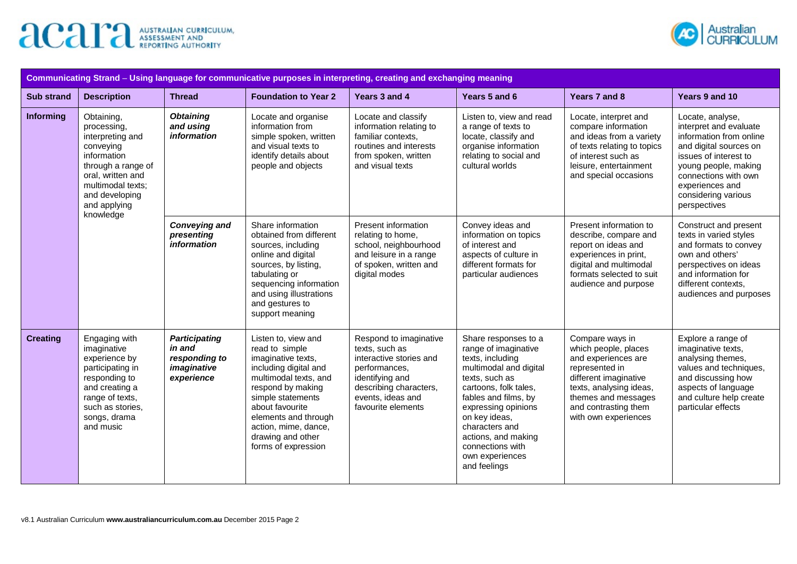



| Communicating Strand - Using language for communicative purposes in interpreting, creating and exchanging meaning |                                                                                                                                                                                                                                                                                                                                                                                                                                                                                                                                    |                                                   |                                                                                                                                                                                                                              |                                                                                                                                                                                                                                                                                                       |                                                                                                                                                                                                             |                                                                                                                                                                                       |                                                                                                                                                                                                                                    |  |
|-------------------------------------------------------------------------------------------------------------------|------------------------------------------------------------------------------------------------------------------------------------------------------------------------------------------------------------------------------------------------------------------------------------------------------------------------------------------------------------------------------------------------------------------------------------------------------------------------------------------------------------------------------------|---------------------------------------------------|------------------------------------------------------------------------------------------------------------------------------------------------------------------------------------------------------------------------------|-------------------------------------------------------------------------------------------------------------------------------------------------------------------------------------------------------------------------------------------------------------------------------------------------------|-------------------------------------------------------------------------------------------------------------------------------------------------------------------------------------------------------------|---------------------------------------------------------------------------------------------------------------------------------------------------------------------------------------|------------------------------------------------------------------------------------------------------------------------------------------------------------------------------------------------------------------------------------|--|
| <b>Sub strand</b>                                                                                                 | <b>Description</b>                                                                                                                                                                                                                                                                                                                                                                                                                                                                                                                 | <b>Thread</b>                                     | <b>Foundation to Year 2</b>                                                                                                                                                                                                  | Years 3 and 4                                                                                                                                                                                                                                                                                         | Years 5 and 6                                                                                                                                                                                               | Years 7 and 8                                                                                                                                                                         | Years 9 and 10                                                                                                                                                                                                                     |  |
| Informing                                                                                                         | Obtaining,<br>processing,<br>interpreting and<br>conveying<br>information<br>through a range of<br>oral, written and<br>multimodal texts;<br>and developing<br>and applying<br>knowledge                                                                                                                                                                                                                                                                                                                                           | <b>Obtaining</b><br>and using<br>information      | Locate and organise<br>information from<br>simple spoken, written<br>and visual texts to<br>identify details about<br>people and objects                                                                                     | Locate and classify<br>information relating to<br>familiar contexts,<br>routines and interests<br>from spoken, written<br>and visual texts                                                                                                                                                            | Listen to, view and read<br>a range of texts to<br>locate, classify and<br>organise information<br>relating to social and<br>cultural worlds                                                                | Locate, interpret and<br>compare information<br>and ideas from a variety<br>of texts relating to topics<br>of interest such as<br>leisure, entertainment<br>and special occasions     | Locate, analyse,<br>interpret and evaluate<br>information from online<br>and digital sources on<br>issues of interest to<br>young people, making<br>connections with own<br>experiences and<br>considering various<br>perspectives |  |
|                                                                                                                   |                                                                                                                                                                                                                                                                                                                                                                                                                                                                                                                                    | <b>Conveying and</b><br>presenting<br>information | Share information<br>obtained from different<br>sources, including<br>online and digital<br>sources, by listing,<br>tabulating or<br>sequencing information<br>and using illustrations<br>and gestures to<br>support meaning | Present information<br>relating to home,<br>school, neighbourhood<br>and leisure in a range<br>of spoken, written and<br>digital modes                                                                                                                                                                | Convey ideas and<br>information on topics<br>of interest and<br>aspects of culture in<br>different formats for<br>particular audiences                                                                      | Present information to<br>describe, compare and<br>report on ideas and<br>experiences in print,<br>digital and multimodal<br>formats selected to suit<br>audience and purpose         | Construct and present<br>texts in varied styles<br>and formats to convey<br>own and others'<br>perspectives on ideas<br>and information for<br>different contexts,<br>audiences and purposes                                       |  |
| <b>Creating</b>                                                                                                   | Listen to, view and<br>Engaging with<br><b>Participating</b><br>imaginative<br>in and<br>read to simple<br>imaginative texts,<br>experience by<br>responding to<br>participating in<br>imaginative<br>including digital and<br>multimodal texts, and<br>responding to<br>experience<br>and creating a<br>respond by making<br>range of texts,<br>simple statements<br>such as stories,<br>about favourite<br>songs, drama<br>elements and through<br>and music<br>action, mime, dance,<br>drawing and other<br>forms of expression |                                                   | Respond to imaginative<br>texts, such as<br>interactive stories and<br>performances,<br>identifying and<br>describing characters,<br>events, ideas and<br>favourite elements                                                 | Share responses to a<br>range of imaginative<br>texts, including<br>multimodal and digital<br>texts, such as<br>cartoons, folk tales,<br>fables and films, by<br>expressing opinions<br>on key ideas,<br>characters and<br>actions, and making<br>connections with<br>own experiences<br>and feelings | Compare ways in<br>which people, places<br>and experiences are<br>represented in<br>different imaginative<br>texts, analysing ideas,<br>themes and messages<br>and contrasting them<br>with own experiences | Explore a range of<br>imaginative texts,<br>analysing themes,<br>values and techniques,<br>and discussing how<br>aspects of language<br>and culture help create<br>particular effects |                                                                                                                                                                                                                                    |  |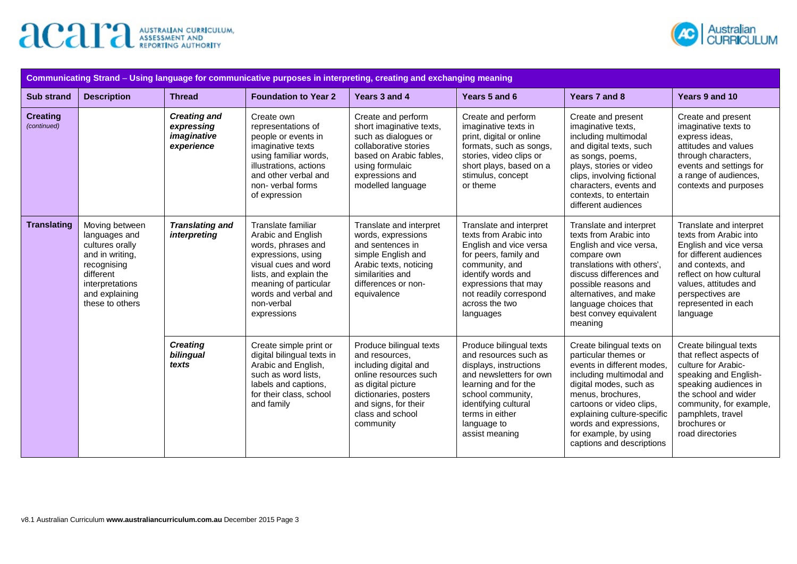



| Communicating Strand – Using language for communicative purposes in interpreting, creating and exchanging meaning |                                                                                                                                                           |                                                                |                                                                                                                                                                                                                      |                                                                                                                                                                                                     |                                                                                                                                                                                                                                |                                                                                                                                                                                                                                                                                                       |                                                                                                                                                                                                                                        |
|-------------------------------------------------------------------------------------------------------------------|-----------------------------------------------------------------------------------------------------------------------------------------------------------|----------------------------------------------------------------|----------------------------------------------------------------------------------------------------------------------------------------------------------------------------------------------------------------------|-----------------------------------------------------------------------------------------------------------------------------------------------------------------------------------------------------|--------------------------------------------------------------------------------------------------------------------------------------------------------------------------------------------------------------------------------|-------------------------------------------------------------------------------------------------------------------------------------------------------------------------------------------------------------------------------------------------------------------------------------------------------|----------------------------------------------------------------------------------------------------------------------------------------------------------------------------------------------------------------------------------------|
| <b>Sub strand</b>                                                                                                 | <b>Description</b>                                                                                                                                        | <b>Thread</b>                                                  | <b>Foundation to Year 2</b>                                                                                                                                                                                          | Years 3 and 4                                                                                                                                                                                       | Years 5 and 6                                                                                                                                                                                                                  | Years 7 and 8                                                                                                                                                                                                                                                                                         | Years 9 and 10                                                                                                                                                                                                                         |
| <b>Creating</b><br>(continued)                                                                                    |                                                                                                                                                           | <b>Creating and</b><br>expressing<br>imaginative<br>experience | Create own<br>representations of<br>people or events in<br>imaginative texts<br>using familiar words,<br>illustrations, actions<br>and other verbal and<br>non-verbal forms<br>of expression                         | Create and perform<br>short imaginative texts,<br>such as dialogues or<br>collaborative stories<br>based on Arabic fables.<br>using formulaic<br>expressions and<br>modelled language               | Create and perform<br>imaginative texts in<br>print, digital or online<br>formats, such as songs,<br>stories, video clips or<br>short plays, based on a<br>stimulus, concept<br>or theme                                       | Create and present<br>imaginative texts,<br>including multimodal<br>and digital texts, such<br>as songs, poems,<br>plays, stories or video<br>clips, involving fictional<br>characters, events and<br>contexts, to entertain<br>different audiences                                                   | Create and present<br>imaginative texts to<br>express ideas,<br>attitudes and values<br>through characters,<br>events and settings for<br>a range of audiences,<br>contexts and purposes                                               |
| <b>Translating</b>                                                                                                | Moving between<br>languages and<br>cultures orally<br>and in writing,<br>recognising<br>different<br>interpretations<br>and explaining<br>these to others | <b>Translating and</b><br>interpreting                         | Translate familiar<br>Arabic and English<br>words, phrases and<br>expressions, using<br>visual cues and word<br>lists, and explain the<br>meaning of particular<br>words and verbal and<br>non-verbal<br>expressions | Translate and interpret<br>words, expressions<br>and sentences in<br>simple English and<br>Arabic texts, noticing<br>similarities and<br>differences or non-<br>equivalence                         | Translate and interpret<br>texts from Arabic into<br>English and vice versa<br>for peers, family and<br>community, and<br>identify words and<br>expressions that may<br>not readily correspond<br>across the two<br>languages  | Translate and interpret<br>texts from Arabic into<br>English and vice versa,<br>compare own<br>translations with others'.<br>discuss differences and<br>possible reasons and<br>alternatives, and make<br>language choices that<br>best convey equivalent<br>meaning                                  | Translate and interpret<br>texts from Arabic into<br>English and vice versa<br>for different audiences<br>and contexts, and<br>reflect on how cultural<br>values, attitudes and<br>perspectives are<br>represented in each<br>language |
|                                                                                                                   |                                                                                                                                                           | <b>Creating</b><br>bilingual<br>texts                          | Create simple print or<br>digital bilingual texts in<br>Arabic and English,<br>such as word lists,<br>labels and captions,<br>for their class, school<br>and family                                                  | Produce bilingual texts<br>and resources,<br>including digital and<br>online resources such<br>as digital picture<br>dictionaries, posters<br>and signs, for their<br>class and school<br>community | Produce bilingual texts<br>and resources such as<br>displays, instructions<br>and newsletters for own<br>learning and for the<br>school community,<br>identifying cultural<br>terms in either<br>language to<br>assist meaning | Create bilingual texts on<br>particular themes or<br>events in different modes,<br>including multimodal and<br>digital modes, such as<br>menus, brochures,<br>cartoons or video clips,<br>explaining culture-specific<br>words and expressions,<br>for example, by using<br>captions and descriptions | Create bilingual texts<br>that reflect aspects of<br>culture for Arabic-<br>speaking and English-<br>speaking audiences in<br>the school and wider<br>community, for example,<br>pamphlets, travel<br>brochures or<br>road directories |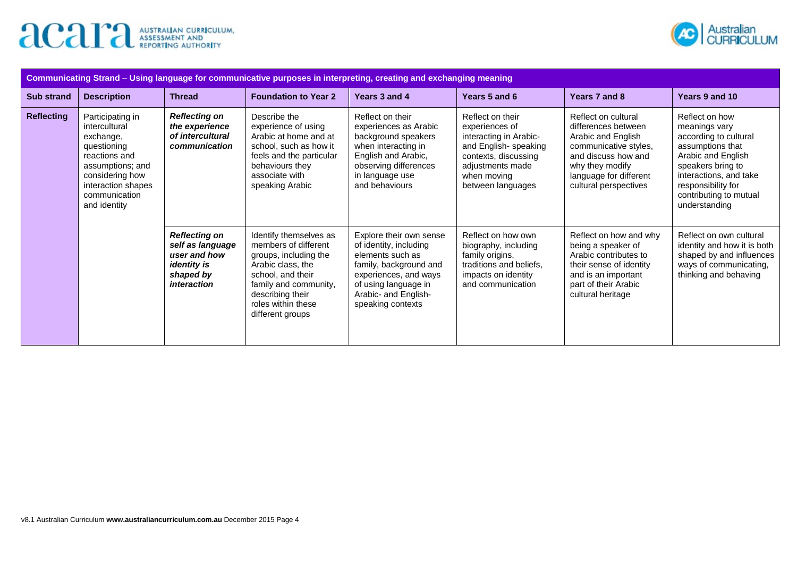



| Communicating Strand - Using language for communicative purposes in interpreting, creating and exchanging meaning |                                                                                                                                                                 |                                                                                                            |                                                                                                                                                                                                          |                                                                                                                                                                                               |                                                                                                                                                                       |                                                                                                                                                                                        |                                                                                                                                                                                                                    |  |
|-------------------------------------------------------------------------------------------------------------------|-----------------------------------------------------------------------------------------------------------------------------------------------------------------|------------------------------------------------------------------------------------------------------------|----------------------------------------------------------------------------------------------------------------------------------------------------------------------------------------------------------|-----------------------------------------------------------------------------------------------------------------------------------------------------------------------------------------------|-----------------------------------------------------------------------------------------------------------------------------------------------------------------------|----------------------------------------------------------------------------------------------------------------------------------------------------------------------------------------|--------------------------------------------------------------------------------------------------------------------------------------------------------------------------------------------------------------------|--|
| <b>Sub strand</b>                                                                                                 | <b>Description</b>                                                                                                                                              | <b>Thread</b>                                                                                              | <b>Foundation to Year 2</b>                                                                                                                                                                              | Years 3 and 4                                                                                                                                                                                 | Years 5 and 6                                                                                                                                                         | Years 7 and 8                                                                                                                                                                          | Years 9 and 10                                                                                                                                                                                                     |  |
| <b>Reflecting</b><br>exchange,                                                                                    | Participating in<br>intercultural<br>questioning<br>reactions and<br>assumptions; and<br>considering how<br>interaction shapes<br>communication<br>and identity | <b>Reflecting on</b><br>the experience<br>of intercultural<br>communication                                | Describe the<br>experience of using<br>Arabic at home and at<br>school, such as how it<br>feels and the particular<br>behaviours they<br>associate with<br>speaking Arabic                               | Reflect on their<br>experiences as Arabic<br>background speakers<br>when interacting in<br>English and Arabic,<br>observing differences<br>in language use<br>and behaviours                  | Reflect on their<br>experiences of<br>interacting in Arabic-<br>and English- speaking<br>contexts, discussing<br>adjustments made<br>when moving<br>between languages | Reflect on cultural<br>differences between<br>Arabic and English<br>communicative styles,<br>and discuss how and<br>why they modify<br>language for different<br>cultural perspectives | Reflect on how<br>meanings vary<br>according to cultural<br>assumptions that<br>Arabic and English<br>speakers bring to<br>interactions, and take<br>responsibility for<br>contributing to mutual<br>understanding |  |
|                                                                                                                   |                                                                                                                                                                 | <b>Reflecting on</b><br>self as language<br>user and how<br><i>identity is</i><br>shaped by<br>interaction | Identify themselves as<br>members of different<br>groups, including the<br>Arabic class, the<br>school, and their<br>family and community,<br>describing their<br>roles within these<br>different groups | Explore their own sense<br>of identity, including<br>elements such as<br>family, background and<br>experiences, and ways<br>of using language in<br>Arabic- and English-<br>speaking contexts | Reflect on how own<br>biography, including<br>family origins,<br>traditions and beliefs,<br>impacts on identity<br>and communication                                  | Reflect on how and why<br>being a speaker of<br>Arabic contributes to<br>their sense of identity<br>and is an important<br>part of their Arabic<br>cultural heritage                   | Reflect on own cultural<br>identity and how it is both<br>shaped by and influences<br>ways of communicating,<br>thinking and behaving                                                                              |  |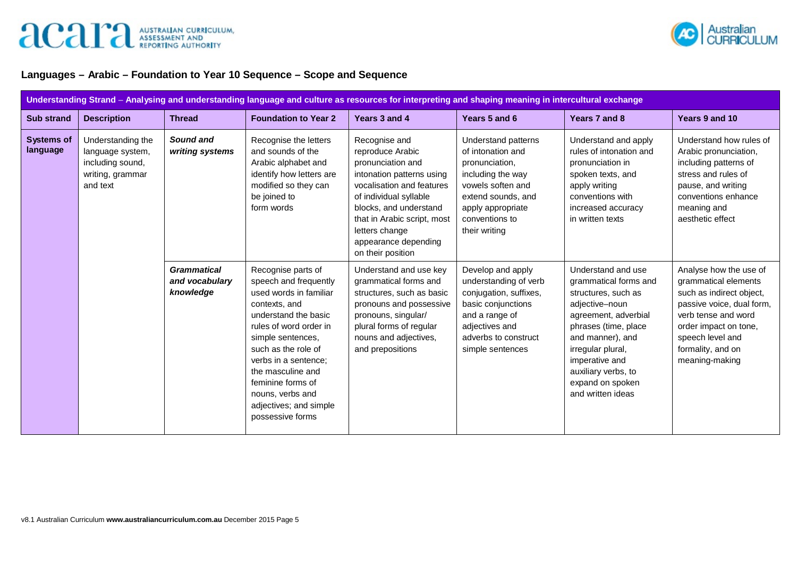



## **Languages – Arabic – Foundation to Year 10 Sequence – Scope and Sequence**

| Understanding Strand - Analysing and understanding language and culture as resources for interpreting and shaping meaning in intercultural exchange |                                                                                           |                                                   |                                                                                                                                                                                                                                                                                                                          |                                                                                                                                                                                                                                                                    |                                                                                                                                                                                    |                                                                                                                                                                                                                                                                 |                                                                                                                                                                                                                    |  |
|-----------------------------------------------------------------------------------------------------------------------------------------------------|-------------------------------------------------------------------------------------------|---------------------------------------------------|--------------------------------------------------------------------------------------------------------------------------------------------------------------------------------------------------------------------------------------------------------------------------------------------------------------------------|--------------------------------------------------------------------------------------------------------------------------------------------------------------------------------------------------------------------------------------------------------------------|------------------------------------------------------------------------------------------------------------------------------------------------------------------------------------|-----------------------------------------------------------------------------------------------------------------------------------------------------------------------------------------------------------------------------------------------------------------|--------------------------------------------------------------------------------------------------------------------------------------------------------------------------------------------------------------------|--|
| <b>Sub strand</b>                                                                                                                                   | <b>Description</b>                                                                        | <b>Thread</b>                                     | <b>Foundation to Year 2</b>                                                                                                                                                                                                                                                                                              | Years 3 and 4                                                                                                                                                                                                                                                      | Years 5 and 6                                                                                                                                                                      | Years 7 and 8                                                                                                                                                                                                                                                   | Years 9 and 10                                                                                                                                                                                                     |  |
| <b>Systems of</b><br>language                                                                                                                       | Understanding the<br>language system,<br>including sound,<br>writing, grammar<br>and text | Sound and<br>writing systems                      | Recognise the letters<br>and sounds of the<br>Arabic alphabet and<br>identify how letters are<br>modified so they can<br>be joined to<br>form words                                                                                                                                                                      | Recognise and<br>reproduce Arabic<br>pronunciation and<br>intonation patterns using<br>vocalisation and features<br>of individual syllable<br>blocks, and understand<br>that in Arabic script, most<br>letters change<br>appearance depending<br>on their position | Understand patterns<br>of intonation and<br>pronunciation,<br>including the way<br>vowels soften and<br>extend sounds, and<br>apply appropriate<br>conventions to<br>their writing | Understand and apply<br>rules of intonation and<br>pronunciation in<br>spoken texts, and<br>apply writing<br>conventions with<br>increased accuracy<br>in written texts                                                                                         | Understand how rules of<br>Arabic pronunciation,<br>including patterns of<br>stress and rules of<br>pause, and writing<br>conventions enhance<br>meaning and<br>aesthetic effect                                   |  |
|                                                                                                                                                     |                                                                                           | <b>Grammatical</b><br>and vocabulary<br>knowledge | Recognise parts of<br>speech and frequently<br>used words in familiar<br>contexts, and<br>understand the basic<br>rules of word order in<br>simple sentences,<br>such as the role of<br>verbs in a sentence;<br>the masculine and<br>feminine forms of<br>nouns, verbs and<br>adjectives; and simple<br>possessive forms | Understand and use key<br>grammatical forms and<br>structures, such as basic<br>pronouns and possessive<br>pronouns, singular/<br>plural forms of regular<br>nouns and adjectives,<br>and prepositions                                                             | Develop and apply<br>understanding of verb<br>conjugation, suffixes,<br>basic conjunctions<br>and a range of<br>adjectives and<br>adverbs to construct<br>simple sentences         | Understand and use<br>grammatical forms and<br>structures, such as<br>adjective-noun<br>agreement, adverbial<br>phrases (time, place<br>and manner), and<br>irregular plural,<br>imperative and<br>auxiliary verbs, to<br>expand on spoken<br>and written ideas | Analyse how the use of<br>grammatical elements<br>such as indirect object,<br>passive voice, dual form,<br>verb tense and word<br>order impact on tone,<br>speech level and<br>formality, and on<br>meaning-making |  |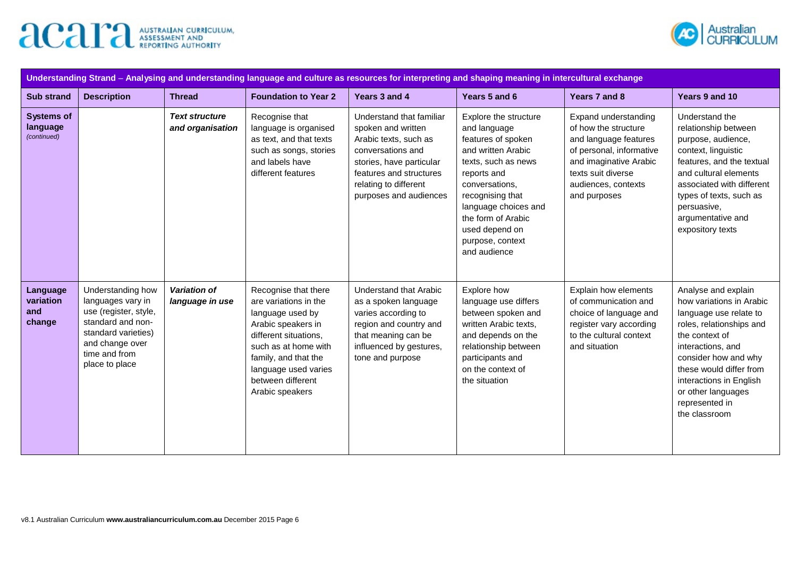



| Understanding Strand - Analysing and understanding language and culture as resources for interpreting and shaping meaning in intercultural exchange |                                                                                                                                                                   |                                           |                                                                                                                                                                                                                                  |                                                                                                                                                                                                        |                                                                                                                                                                                                                                                                   |                                                                                                                                                                                          |                                                                                                                                                                                                                                                                                     |  |
|-----------------------------------------------------------------------------------------------------------------------------------------------------|-------------------------------------------------------------------------------------------------------------------------------------------------------------------|-------------------------------------------|----------------------------------------------------------------------------------------------------------------------------------------------------------------------------------------------------------------------------------|--------------------------------------------------------------------------------------------------------------------------------------------------------------------------------------------------------|-------------------------------------------------------------------------------------------------------------------------------------------------------------------------------------------------------------------------------------------------------------------|------------------------------------------------------------------------------------------------------------------------------------------------------------------------------------------|-------------------------------------------------------------------------------------------------------------------------------------------------------------------------------------------------------------------------------------------------------------------------------------|--|
| <b>Sub strand</b>                                                                                                                                   | <b>Description</b>                                                                                                                                                | <b>Thread</b>                             | <b>Foundation to Year 2</b>                                                                                                                                                                                                      | Years 3 and 4                                                                                                                                                                                          | Years 5 and 6                                                                                                                                                                                                                                                     | Years 7 and 8                                                                                                                                                                            | Years 9 and 10                                                                                                                                                                                                                                                                      |  |
| <b>Systems of</b><br>language<br>(continued)                                                                                                        |                                                                                                                                                                   | <b>Text structure</b><br>and organisation | Recognise that<br>language is organised<br>as text, and that texts<br>such as songs, stories<br>and labels have<br>different features                                                                                            | Understand that familiar<br>spoken and written<br>Arabic texts, such as<br>conversations and<br>stories, have particular<br>features and structures<br>relating to different<br>purposes and audiences | Explore the structure<br>and language<br>features of spoken<br>and written Arabic<br>texts, such as news<br>reports and<br>conversations,<br>recognising that<br>language choices and<br>the form of Arabic<br>used depend on<br>purpose, context<br>and audience | Expand understanding<br>of how the structure<br>and language features<br>of personal, informative<br>and imaginative Arabic<br>texts suit diverse<br>audiences, contexts<br>and purposes | Understand the<br>relationship between<br>purpose, audience,<br>context, linguistic<br>features, and the textual<br>and cultural elements<br>associated with different<br>types of texts, such as<br>persuasive,<br>argumentative and<br>expository texts                           |  |
| Language<br>variation<br>and<br>change                                                                                                              | Understanding how<br>languages vary in<br>use (register, style,<br>standard and non-<br>standard varieties)<br>and change over<br>time and from<br>place to place | Variation of<br>language in use           | Recognise that there<br>are variations in the<br>language used by<br>Arabic speakers in<br>different situations,<br>such as at home with<br>family, and that the<br>language used varies<br>between different<br>Arabic speakers | <b>Understand that Arabic</b><br>as a spoken language<br>varies according to<br>region and country and<br>that meaning can be<br>influenced by gestures,<br>tone and purpose                           | Explore how<br>language use differs<br>between spoken and<br>written Arabic texts,<br>and depends on the<br>relationship between<br>participants and<br>on the context of<br>the situation                                                                        | Explain how elements<br>of communication and<br>choice of language and<br>register vary according<br>to the cultural context<br>and situation                                            | Analyse and explain<br>how variations in Arabic<br>language use relate to<br>roles, relationships and<br>the context of<br>interactions, and<br>consider how and why<br>these would differ from<br>interactions in English<br>or other languages<br>represented in<br>the classroom |  |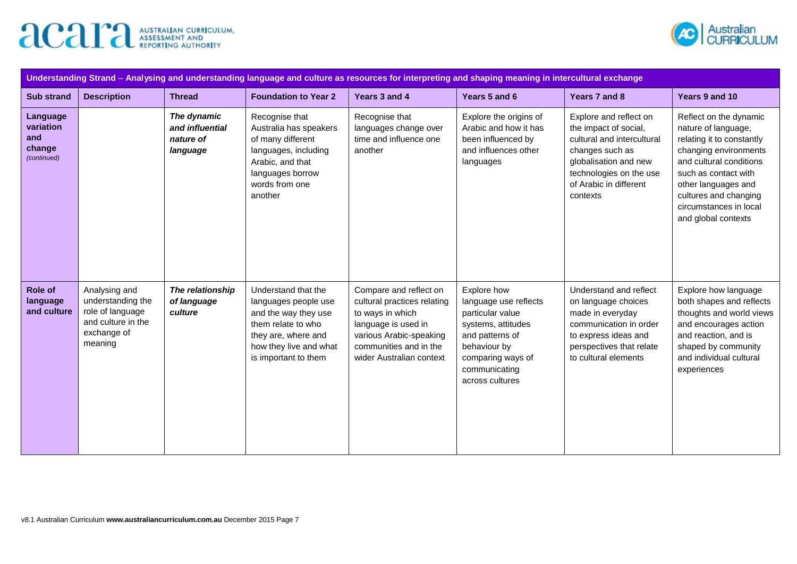



| Understanding Strand - Analysing and understanding language and culture as resources for interpreting and shaping meaning in intercultural exchange |                                                                                                        |                                                         |                                                                                                                                                                    |                                                                                                                                                                                   |                                                                                                                                                                            |                                                                                                                                                                                            |                                                                                                                                                                                                                                                         |  |
|-----------------------------------------------------------------------------------------------------------------------------------------------------|--------------------------------------------------------------------------------------------------------|---------------------------------------------------------|--------------------------------------------------------------------------------------------------------------------------------------------------------------------|-----------------------------------------------------------------------------------------------------------------------------------------------------------------------------------|----------------------------------------------------------------------------------------------------------------------------------------------------------------------------|--------------------------------------------------------------------------------------------------------------------------------------------------------------------------------------------|---------------------------------------------------------------------------------------------------------------------------------------------------------------------------------------------------------------------------------------------------------|--|
| <b>Sub strand</b>                                                                                                                                   | <b>Description</b>                                                                                     | <b>Thread</b>                                           | <b>Foundation to Year 2</b>                                                                                                                                        | Years 3 and 4                                                                                                                                                                     | Years 5 and 6                                                                                                                                                              | Years 7 and 8                                                                                                                                                                              | Years 9 and 10                                                                                                                                                                                                                                          |  |
| Language<br>variation<br>and<br>change<br>(continued)                                                                                               |                                                                                                        | The dynamic<br>and influential<br>nature of<br>language | Recognise that<br>Australia has speakers<br>of many different<br>languages, including<br>Arabic, and that<br>languages borrow<br>words from one<br>another         | Recognise that<br>languages change over<br>time and influence one<br>another                                                                                                      | Explore the origins of<br>Arabic and how it has<br>been influenced by<br>and influences other<br>languages                                                                 | Explore and reflect on<br>the impact of social,<br>cultural and intercultural<br>changes such as<br>globalisation and new<br>technologies on the use<br>of Arabic in different<br>contexts | Reflect on the dynamic<br>nature of language,<br>relating it to constantly<br>changing environments<br>and cultural conditions<br>such as contact with<br>other languages and<br>cultures and changing<br>circumstances in local<br>and global contexts |  |
| <b>Role of</b><br>language<br>and culture                                                                                                           | Analysing and<br>understanding the<br>role of language<br>and culture in the<br>exchange of<br>meaning | The relationship<br>of language<br>culture              | Understand that the<br>languages people use<br>and the way they use<br>them relate to who<br>they are, where and<br>how they live and what<br>is important to them | Compare and reflect on<br>cultural practices relating<br>to ways in which<br>language is used in<br>various Arabic-speaking<br>communities and in the<br>wider Australian context | Explore how<br>language use reflects<br>particular value<br>systems, attitudes<br>and patterns of<br>behaviour by<br>comparing ways of<br>communicating<br>across cultures | Understand and reflect<br>on language choices<br>made in everyday<br>communication in order<br>to express ideas and<br>perspectives that relate<br>to cultural elements                    | Explore how language<br>both shapes and reflects<br>thoughts and world views<br>and encourages action<br>and reaction, and is<br>shaped by community<br>and individual cultural<br>experiences                                                          |  |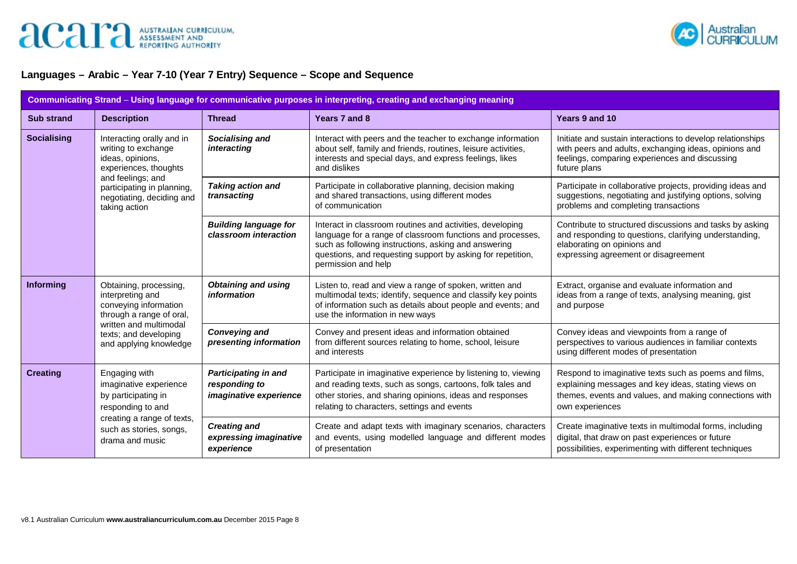

## **Languages – Arabic – Year 7-10 (Year 7 Entry) Sequence – Scope and Sequence**

| Communicating Strand - Using language for communicative purposes in interpreting, creating and exchanging meaning |                                                                                                                                                                              |                                                                               |                                                                                                                                                                                                                                                                       |                                                                                                                                                                                           |  |  |  |  |
|-------------------------------------------------------------------------------------------------------------------|------------------------------------------------------------------------------------------------------------------------------------------------------------------------------|-------------------------------------------------------------------------------|-----------------------------------------------------------------------------------------------------------------------------------------------------------------------------------------------------------------------------------------------------------------------|-------------------------------------------------------------------------------------------------------------------------------------------------------------------------------------------|--|--|--|--|
| <b>Sub strand</b>                                                                                                 | <b>Description</b>                                                                                                                                                           | <b>Thread</b>                                                                 | Years 7 and 8                                                                                                                                                                                                                                                         | Years 9 and 10                                                                                                                                                                            |  |  |  |  |
| <b>Socialising</b>                                                                                                | Interacting orally and in<br>writing to exchange<br>ideas, opinions,<br>experiences, thoughts                                                                                | Socialising and<br>interacting                                                | Interact with peers and the teacher to exchange information<br>about self, family and friends, routines, leisure activities,<br>interests and special days, and express feelings, likes<br>and dislikes                                                               | Initiate and sustain interactions to develop relationships<br>with peers and adults, exchanging ideas, opinions and<br>feelings, comparing experiences and discussing<br>future plans     |  |  |  |  |
|                                                                                                                   | and feelings; and<br>participating in planning,<br>negotiating, deciding and<br>taking action                                                                                | <b>Taking action and</b><br>transacting                                       | Participate in collaborative planning, decision making<br>and shared transactions, using different modes<br>of communication                                                                                                                                          | Participate in collaborative projects, providing ideas and<br>suggestions, negotiating and justifying options, solving<br>problems and completing transactions                            |  |  |  |  |
|                                                                                                                   |                                                                                                                                                                              | <b>Building language for</b><br>classroom interaction                         | Interact in classroom routines and activities, developing<br>language for a range of classroom functions and processes,<br>such as following instructions, asking and answering<br>questions, and requesting support by asking for repetition,<br>permission and help | Contribute to structured discussions and tasks by asking<br>and responding to questions, clarifying understanding,<br>elaborating on opinions and<br>expressing agreement or disagreement |  |  |  |  |
| <b>Informing</b>                                                                                                  | Obtaining, processing,<br>interpreting and<br>conveying information<br>through a range of oral,<br>written and multimodal<br>texts; and developing<br>and applying knowledge | <b>Obtaining and using</b><br>information                                     | Listen to, read and view a range of spoken, written and<br>multimodal texts; identify, sequence and classify key points<br>of information such as details about people and events; and<br>use the information in new ways                                             | Extract, organise and evaluate information and<br>ideas from a range of texts, analysing meaning, gist<br>and purpose                                                                     |  |  |  |  |
|                                                                                                                   |                                                                                                                                                                              | <b>Conveying and</b><br>presenting information                                | Convey and present ideas and information obtained<br>from different sources relating to home, school, leisure<br>and interests                                                                                                                                        | Convey ideas and viewpoints from a range of<br>perspectives to various audiences in familiar contexts<br>using different modes of presentation                                            |  |  |  |  |
| <b>Creating</b>                                                                                                   | Engaging with<br>imaginative experience<br>by participating in<br>responding to and<br>creating a range of texts,<br>such as stories, songs,<br>drama and music              | <b>Participating in and</b><br>responding to<br><i>imaginative experience</i> | Participate in imaginative experience by listening to, viewing<br>and reading texts, such as songs, cartoons, folk tales and<br>other stories, and sharing opinions, ideas and responses<br>relating to characters, settings and events                               | Respond to imaginative texts such as poems and films,<br>explaining messages and key ideas, stating views on<br>themes, events and values, and making connections with<br>own experiences |  |  |  |  |
|                                                                                                                   |                                                                                                                                                                              | <b>Creating and</b><br>expressing imaginative<br>experience                   | Create and adapt texts with imaginary scenarios, characters<br>and events, using modelled language and different modes<br>of presentation                                                                                                                             | Create imaginative texts in multimodal forms, including<br>digital, that draw on past experiences or future<br>possibilities, experimenting with different techniques                     |  |  |  |  |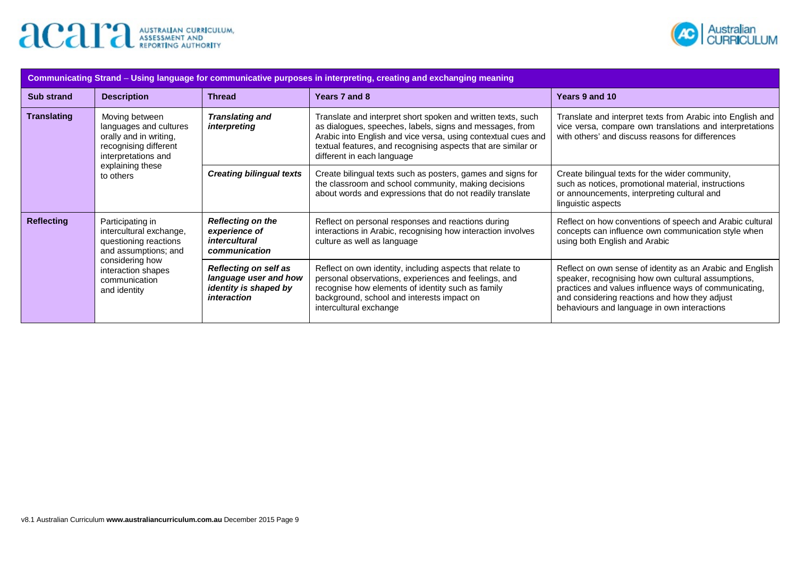



| Communicating Strand – Using language for communicative purposes in interpreting, creating and exchanging meaning |                                                                                                                                                                        |                                                                                               |                                                                                                                                                                                                                                                                                          |                                                                                                                                                                                                                                                                          |  |  |  |  |
|-------------------------------------------------------------------------------------------------------------------|------------------------------------------------------------------------------------------------------------------------------------------------------------------------|-----------------------------------------------------------------------------------------------|------------------------------------------------------------------------------------------------------------------------------------------------------------------------------------------------------------------------------------------------------------------------------------------|--------------------------------------------------------------------------------------------------------------------------------------------------------------------------------------------------------------------------------------------------------------------------|--|--|--|--|
| <b>Sub strand</b>                                                                                                 | <b>Description</b>                                                                                                                                                     | <b>Thread</b>                                                                                 | Years 7 and 8                                                                                                                                                                                                                                                                            | Years 9 and 10                                                                                                                                                                                                                                                           |  |  |  |  |
| <b>Translating</b>                                                                                                | Moving between<br>languages and cultures<br>orally and in writing,<br>recognising different<br>interpretations and<br>explaining these<br>to others                    | <b>Translating and</b><br>interpreting                                                        | Translate and interpret short spoken and written texts, such<br>as dialogues, speeches, labels, signs and messages, from<br>Arabic into English and vice versa, using contextual cues and<br>textual features, and recognising aspects that are similar or<br>different in each language | Translate and interpret texts from Arabic into English and<br>vice versa, compare own translations and interpretations<br>with others' and discuss reasons for differences                                                                                               |  |  |  |  |
|                                                                                                                   |                                                                                                                                                                        | <b>Creating bilingual texts</b>                                                               | Create bilingual texts such as posters, games and signs for<br>the classroom and school community, making decisions<br>about words and expressions that do not readily translate                                                                                                         | Create bilingual texts for the wider community,<br>such as notices, promotional material, instructions<br>or announcements, interpreting cultural and<br>linguistic aspects                                                                                              |  |  |  |  |
| <b>Reflecting</b>                                                                                                 | Participating in<br>intercultural exchange,<br>questioning reactions<br>and assumptions; and<br>considering how<br>interaction shapes<br>communication<br>and identity | <b>Reflecting on the</b><br>experience of<br><i>intercultural</i><br>communication            | Reflect on personal responses and reactions during<br>interactions in Arabic, recognising how interaction involves<br>culture as well as language                                                                                                                                        | Reflect on how conventions of speech and Arabic cultural<br>concepts can influence own communication style when<br>using both English and Arabic                                                                                                                         |  |  |  |  |
|                                                                                                                   |                                                                                                                                                                        | <b>Reflecting on self as</b><br>language user and how<br>identity is shaped by<br>interaction | Reflect on own identity, including aspects that relate to<br>personal observations, experiences and feelings, and<br>recognise how elements of identity such as family<br>background, school and interests impact on<br>intercultural exchange                                           | Reflect on own sense of identity as an Arabic and English<br>speaker, recognising how own cultural assumptions,<br>practices and values influence ways of communicating,<br>and considering reactions and how they adjust<br>behaviours and language in own interactions |  |  |  |  |